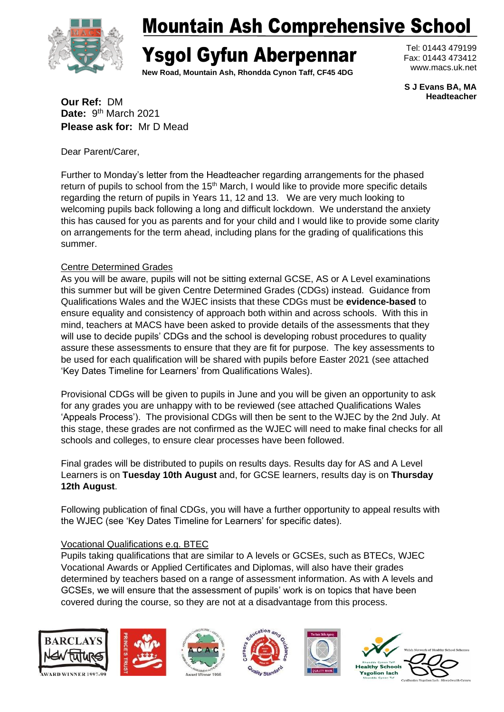

# Mountain Ash Comprehensive School

# Ysgol Gyfun Aberpennar

**New Road, Mountain Ash, Rhondda Cynon Taff, CF45 4DG**

Tel: 01443 479199 Fax: 01443 473412 www.macs.uk.net

**S J Evans BA, MA Headteacher**

**Our Ref:** DM Date: 9<sup>th</sup> March 2021 **Please ask for:** Mr D Mead

Dear Parent/Carer,

Further to Monday's letter from the Headteacher regarding arrangements for the phased return of pupils to school from the  $15<sup>th</sup>$  March, I would like to provide more specific details regarding the return of pupils in Years 11, 12 and 13. We are very much looking to welcoming pupils back following a long and difficult lockdown. We understand the anxiety this has caused for you as parents and for your child and I would like to provide some clarity on arrangements for the term ahead, including plans for the grading of qualifications this summer.

### Centre Determined Grades

As you will be aware, pupils will not be sitting external GCSE, AS or A Level examinations this summer but will be given Centre Determined Grades (CDGs) instead. Guidance from Qualifications Wales and the WJEC insists that these CDGs must be **evidence-based** to ensure equality and consistency of approach both within and across schools. With this in mind, teachers at MACS have been asked to provide details of the assessments that they will use to decide pupils' CDGs and the school is developing robust procedures to quality assure these assessments to ensure that they are fit for purpose. The key assessments to be used for each qualification will be shared with pupils before Easter 2021 (see attached 'Key Dates Timeline for Learners' from Qualifications Wales).

Provisional CDGs will be given to pupils in June and you will be given an opportunity to ask for any grades you are unhappy with to be reviewed (see attached Qualifications Wales 'Appeals Process'). The provisional CDGs will then be sent to the WJEC by the 2nd July. At this stage, these grades are not confirmed as the WJEC will need to make final checks for all schools and colleges, to ensure clear processes have been followed.

Final grades will be distributed to pupils on results days. Results day for AS and A Level Learners is on **Tuesday 10th August** and, for GCSE learners, results day is on **Thursday 12th August**.

Following publication of final CDGs, you will have a further opportunity to appeal results with the WJEC (see 'Key Dates Timeline for Learners' for specific dates).

### Vocational Qualifications e.g. BTEC

Pupils taking qualifications that are similar to A levels or GCSEs, such as BTECs, WJEC Vocational Awards or Applied Certificates and Diplomas, will also have their grades determined by teachers based on a range of assessment information. As with A levels and GCSEs, we will ensure that the assessment of pupils' work is on topics that have been covered during the course, so they are not at a disadvantage from this process.